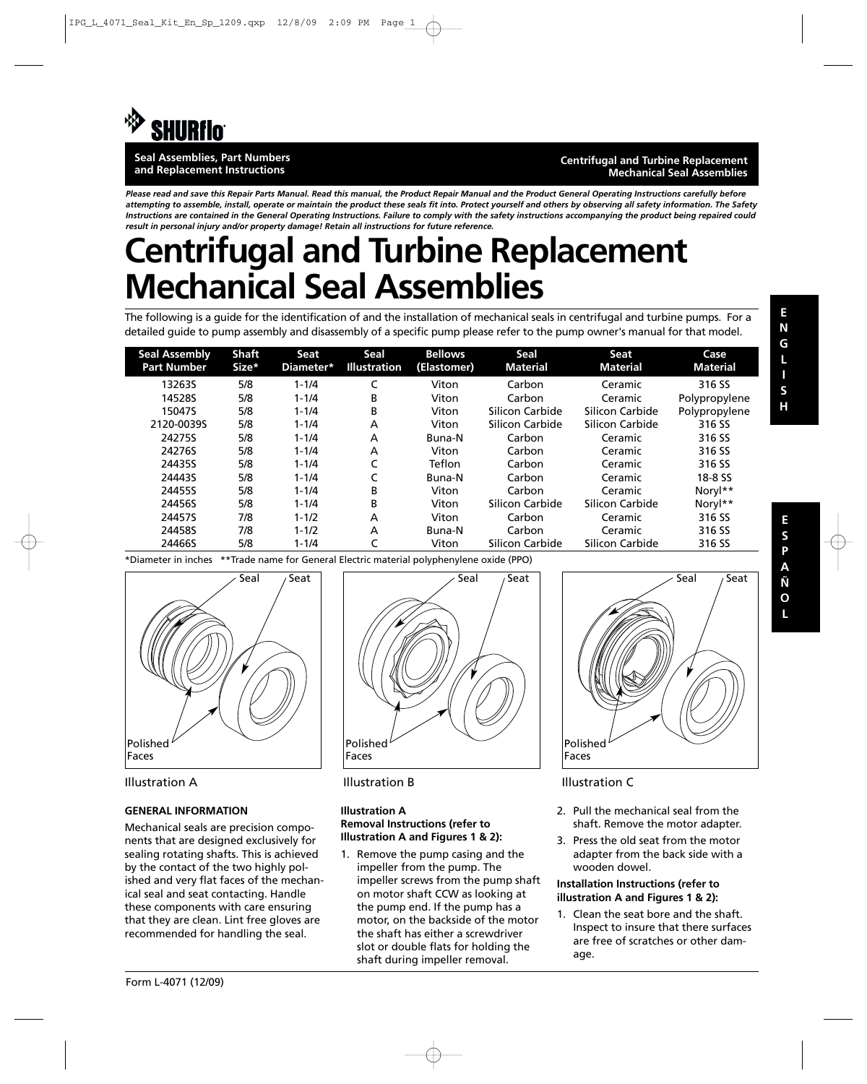

#### **Seal Assemblies, Part Numbers and Replacement Instructions**

#### **Centrifugal and Turbine Replacement Mechanical Seal Assemblies**

*Please read and save this Repair Parts Manual. Read this manual, the Product Repair Manual and the Product General Operating Instructions carefully before attempting to assemble, install, operate or maintain the product these seals fit into. Protect yourself and others by observing all safety information. The Safety Instructions are contained in the General Operating Instructions. Failure to comply with the safety instructions accompanying the product being repaired could result in personal injury and/or property damage! Retain all instructions for future reference.*

# **Centrifugal and Turbine Replacement Mechanical Seal Assemblies**

The following is a guide for the identification of and the installation of mechanical seals in centrifugal and turbine pumps. For a detailed guide to pump assembly and disassembly of a specific pump please refer to the pump owner's manual for that model.

| <b>Seal Assembly</b><br><b>Part Number</b> | Shaft<br>Size* | Seat<br>Diameter* | Seal<br><b>Illustration</b> | <b>Bellows</b><br>(Elastomer) | Seal<br><b>Material</b> | Seat<br><b>Material</b> | Case<br><b>Material</b> |
|--------------------------------------------|----------------|-------------------|-----------------------------|-------------------------------|-------------------------|-------------------------|-------------------------|
| 13263S                                     | 5/8            | $1 - 1/4$         |                             | Viton                         | Carbon                  | Ceramic                 | 316 SS                  |
| 14528S                                     | 5/8            | $1 - 1/4$         | B                           | Viton                         | Carbon                  | Ceramic                 | Polypropylene           |
| 15047S                                     | 5/8            | $1 - 1/4$         | B                           | Viton                         | Silicon Carbide         | Silicon Carbide         | Polypropylene           |
| 2120-0039S                                 | 5/8            | $1 - 1/4$         | A                           | Viton                         | Silicon Carbide         | Silicon Carbide         | 316 SS                  |
| 24275S                                     | 5/8            | $1 - 1/4$         | A                           | Buna-N                        | Carbon                  | Ceramic                 | 316 SS                  |
| 24276S                                     | 5/8            | $1 - 1/4$         | A                           | Viton                         | Carbon                  | Ceramic                 | 316 SS                  |
| 24435S                                     | 5/8            | $1 - 1/4$         |                             | Teflon                        | Carbon                  | Ceramic                 | 316 SS                  |
| 24443S                                     | 5/8            | $1 - 1/4$         |                             | Buna-N                        | Carbon                  | Ceramic                 | 18-8 SS                 |
| 24455S                                     | 5/8            | $1 - 1/4$         | B                           | Viton                         | Carbon                  | Ceramic                 | Noryl**                 |
| 24456S                                     | 5/8            | $1 - 1/4$         | B                           | Viton                         | Silicon Carbide         | Silicon Carbide         | Noryl**                 |
| 24457S                                     | 7/8            | $1 - 1/2$         | A                           | Viton                         | Carbon                  | Ceramic                 | 316 SS                  |
| 24458S                                     | 7/8            | $1 - 1/2$         | A                           | Buna-N                        | Carbon                  | Ceramic                 | 316 SS                  |
| 24466S                                     | 5/8            | $1 - 1/4$         |                             | Viton                         | Silicon Carbide         | Silicon Carbide         | 316 SS                  |

\*Diameter in inches \*\*Trade name for General Electric material polyphenylene oxide (PPO)



## **GENERAL INFORMATION**

Mechanical seals are precision components that are designed exclusively for sealing rotating shafts. This is achieved by the contact of the two highly polished and very flat faces of the mechanical seal and seat contacting. Handle these components with care ensuring that they are clean. Lint free gloves are recommended for handling the seal.





### **Illustration A Removal Instructions (refer to Illustration A and Figures 1 & 2):**

1. Remove the pump casing and the impeller from the pump. The impeller screws from the pump shaft on motor shaft CCW as looking at the pump end. If the pump has a motor, on the backside of the motor the shaft has either a screwdriver slot or double flats for holding the shaft during impeller removal.



- 2. Pull the mechanical seal from the shaft. Remove the motor adapter.
- 3. Press the old seat from the motor adapter from the back side with a wooden dowel.

### **Installation Instructions (refer to illustration A and Figures 1 & 2):**

1. Clean the seat bore and the shaft. Inspect to insure that there surfaces are free of scratches or other damage.

**H**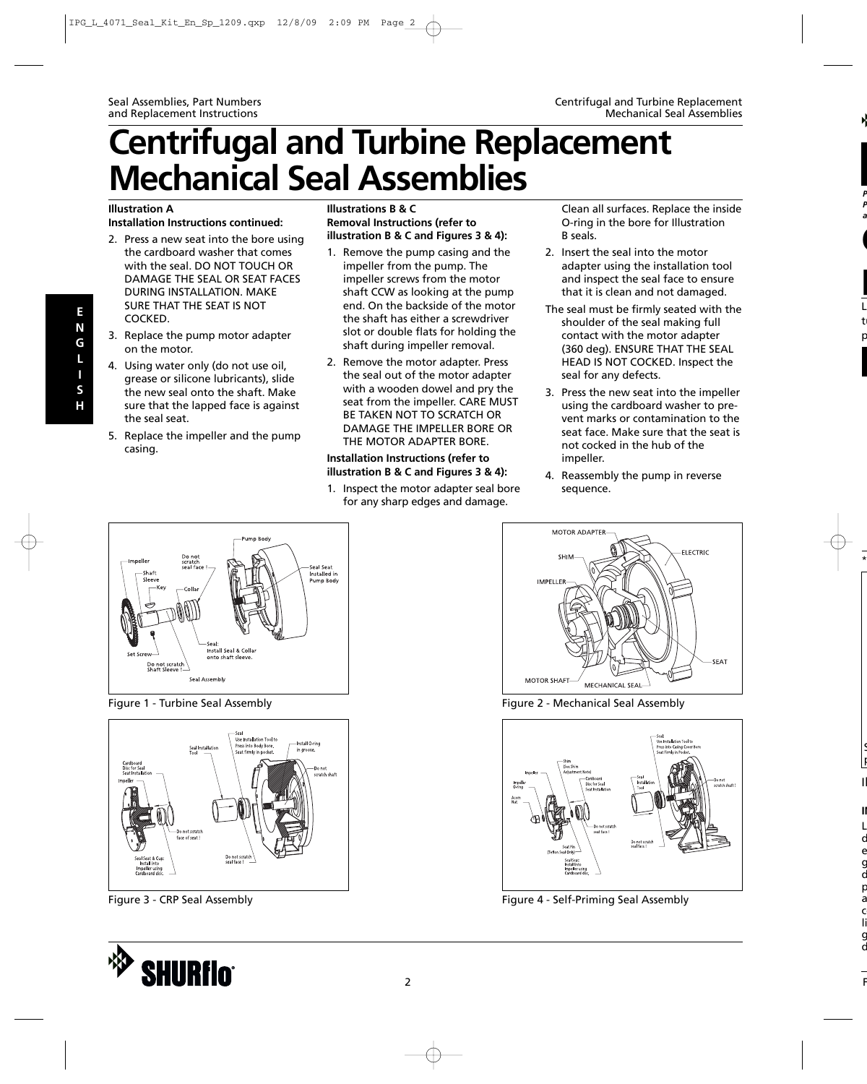# **Centrifugal and Turbine Replacement Mechanical Seal Assemblies**

## **Illustration A**

### **Installation Instructions continued:**

- 2. Press a new seat into the bore using the cardboard washer that comes with the seal. DO NOT TOUCH OR DAMAGE THE SEAL OR SEAT FACES DURING INSTALLATION. MAKE SURE THAT THE SEAT IS NOT COCKED.
- 3. Replace the pump motor adapter on the motor.
- 4. Using water only (do not use oil, grease or silicone lubricants), slide the new seal onto the shaft. Make sure that the lapped face is against the seal seat.
- 5. Replace the impeller and the pump casing.

## **Illustrations B & C Removal Instructions (refer to illustration B & C and Figures 3 & 4):**

- 1. Remove the pump casing and the impeller from the pump. The impeller screws from the motor shaft CCW as looking at the pump end. On the backside of the motor the shaft has either a screwdriver slot or double flats for holding the shaft during impeller removal.
- 2. Remove the motor adapter. Press the seal out of the motor adapter with a wooden dowel and pry the seat from the impeller. CARE MUST BE TAKEN NOT TO SCRATCH OR DAMAGE THE IMPELLER BORE OR THE MOTOR ADAPTER BORE.

#### **Installation Instructions (refer to illustration B & C and Figures 3 & 4):**

1. Inspect the motor adapter seal bore for any sharp edges and damage.

Clean all surfaces. Replace the inside O-ring in the bore for Illustration B seals.

- 2. Insert the seal into the motor adapter using the installation tool and inspect the seal face to ensure that it is clean and not damaged.
- The seal must be firmly seated with the shoulder of the seal making full contact with the motor adapter (360 deg). ENSURE THAT THE SEAL HEAD IS NOT COCKED. Inspect the seal for any defects.
- 3. Press the new seat into the impeller using the cardboard washer to prevent marks or contamination to the seat face. Make sure that the seat is not cocked in the hub of the impeller.
- 4. Reassembly the pump in reverse sequence.



Figure 1 - Turbine Seal Assembly



Figure 3 - CRP Seal Assembly





Figure 2 - Mechanical Seal Assembly



Figure 4 - Self-Priming Seal Assembly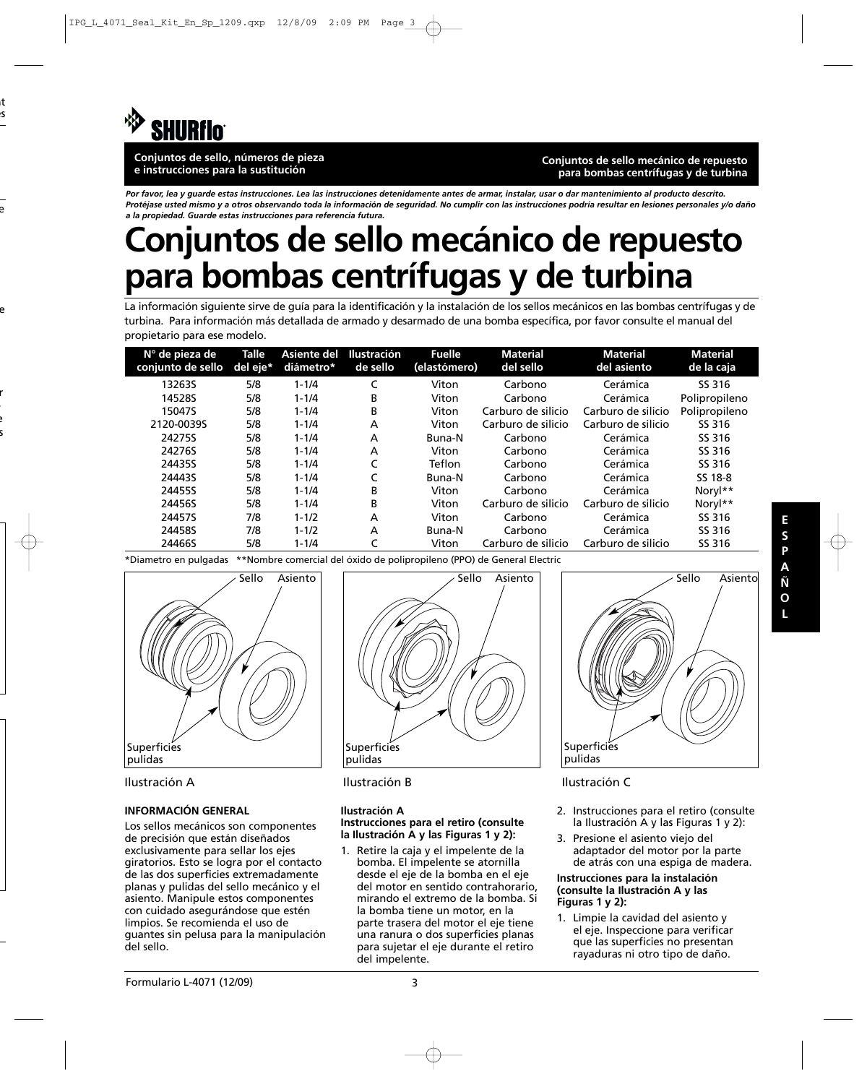

**Conjuntos de sello, números de pieza e instrucciones para la sustitución**

**Conjuntos de sello mecánico de repuesto para bombas centrífugas y de turbina**

*Por favor, lea y guarde estas instrucciones. Lea las instrucciones detenidamente antes de armar, instalar, usar o dar mantenimiento al producto descrito. Protéjase usted mismo y a otros observando toda la información de seguridad. No cumplir con las instrucciones podría resultar en lesiones personales y/o daño a la propiedad. Guarde estas instrucciones para referencia futura.*

# **Conjuntos de sello mecánico de repuesto para bombas centrífugas y de turbina**

La información siguiente sirve de guía para la identificación y la instalación de los sellos mecánicos en las bombas centrífugas y de turbina. Para información más detallada de armado y desarmado de una bomba específica, por favor consulte el manual del propietario para ese modelo.

| $N^{\circ}$ de pieza de<br>conjunto de sello | <b>Talle</b><br>del eje* | Asiente del<br>diámetro* | <b>Ilustración</b><br>de sello | <b>Fuelle</b><br>(elastómero) | <b>Material</b><br>del sello | <b>Material</b><br>del asiento | <b>Material</b><br>de la caja |
|----------------------------------------------|--------------------------|--------------------------|--------------------------------|-------------------------------|------------------------------|--------------------------------|-------------------------------|
| 13263S                                       | 5/8                      | $1 - 1/4$                |                                | Viton                         | Carbono                      | Cerámica                       | SS 316                        |
| 14528S                                       | 5/8                      | $1 - 1/4$                | B                              | Viton                         | Carbono                      | Cerámica                       | Polipropileno                 |
| 15047S                                       | 5/8                      | $1 - 1/4$                | В                              | Viton                         | Carburo de silicio           | Carburo de silicio             | Polipropileno                 |
| 2120-0039S                                   | 5/8                      | $1 - 1/4$                | A                              | Viton                         | Carburo de silicio           | Carburo de silicio             | SS 316                        |
| 24275S                                       | 5/8                      | $1 - 1/4$                | A                              | Buna-N                        | Carbono                      | Cerámica                       | SS 316                        |
| 24276S                                       | 5/8                      | $1 - 1/4$                | A                              | Viton                         | Carbono                      | Cerámica                       | SS 316                        |
| 24435S                                       | 5/8                      | $1 - 1/4$                | C                              | Teflon                        | Carbono                      | Cerámica                       | SS 316                        |
| 24443S                                       | 5/8                      | $1 - 1/4$                |                                | Buna-N                        | Carbono                      | Cerámica                       | SS 18-8                       |
| 24455S                                       | 5/8                      | $1 - 1/4$                | B                              | Viton                         | Carbono                      | Cerámica                       | Noryl**                       |
| 24456S                                       | 5/8                      | $1 - 1/4$                | B                              | Viton                         | Carburo de silicio           | Carburo de silicio             | Noryl**                       |
| 24457S                                       | 7/8                      | $1 - 1/2$                | А                              | Viton                         | Carbono                      | Cerámica                       | SS 316                        |
| 24458S                                       | 7/8                      | $1 - 1/2$                | A                              | Buna-N                        | Carbono                      | Cerámica                       | SS 316                        |
| 24466S                                       | 5/8                      | $1 - 1/4$                | C                              | Viton                         | Carburo de silicio           | Carburo de silicio             | SS 316                        |

\*Diametro en pulgadas \*\*Nombre comercial del óxido de polipropileno (PPO) de General Electric



## **INFORMACIÓN GENERAL**

Los sellos mecánicos son componentes de precisión que están diseñados exclusivamente para sellar los ejes giratorios. Esto se logra por el contacto de las dos superficies extremadamente planas y pulidas del sello mecánico y el asiento. Manipule estos componentes con cuidado asegurándose que estén limpios. Se recomienda el uso de guantes sin pelusa para la manipulación del sello.



Ilustración A Ilustración B Ilustración C

#### **Ilustración A Instrucciones para el retiro (consulte la Ilustración A y las Figuras 1 y 2):**

1. Retire la caja y el impelente de la bomba. El impelente se atornilla desde el eje de la bomba en el eje del motor en sentido contrahorario, mirando el extremo de la bomba. Si la bomba tiene un motor, en la parte trasera del motor el eje tiene una ranura o dos superficies planas para sujetar el eje durante el retiro del impelente.



- 2. Instrucciones para el retiro (consulte la Ilustración A y las Figuras 1 y 2):
- 3. Presione el asiento viejo del adaptador del motor por la parte de atrás con una espiga de madera.

#### **Instrucciones para la instalación (consulte la Ilustración A y las Figuras 1 y 2):**

1. Limpie la cavidad del asiento y el eje. Inspeccione para verificar que las superficies no presentan rayaduras ni otro tipo de daño.

**E S P A Ñ O**